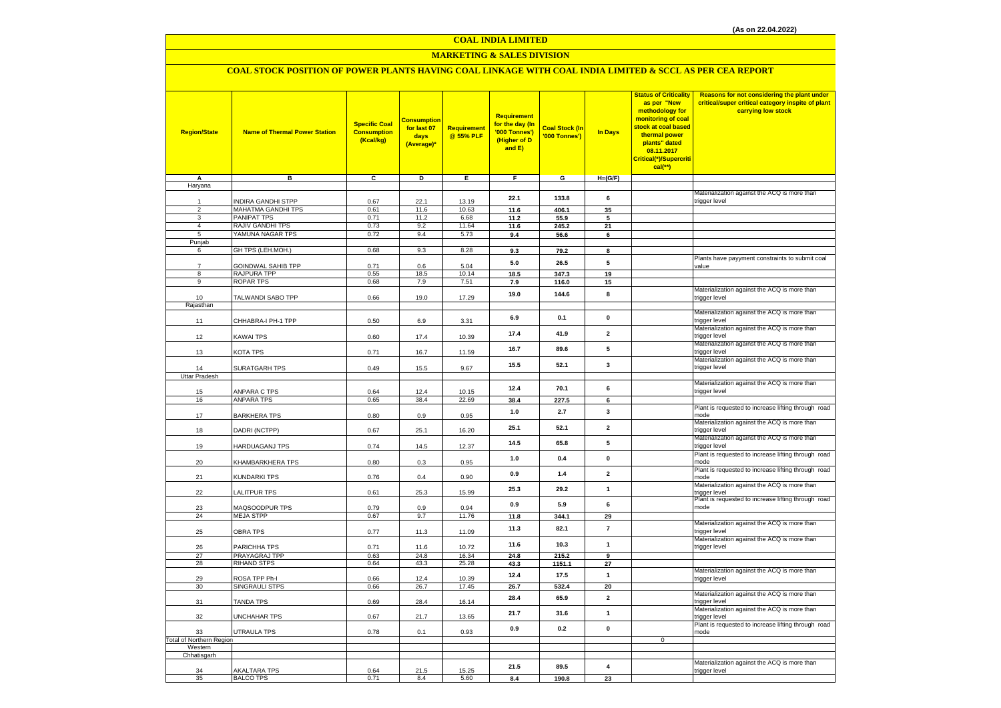### **COAL INDIA LIMITED**

### **MARKETING & SALES DIVISION**

### **COAL STOCK POSITION OF POWER PLANTS HAVING COAL LINKAGE WITH COAL INDIA LIMITED & SCCL AS PER CEA REPORT**

| <b>Region/State</b>             | <b>Name of Thermal Power Station</b>     | <b>Specific Coal</b><br><b>Consumption</b><br>(Kcal/kg) | <b>Consumption</b><br>for last 07<br>days<br>(Average)* | <b>Requirement</b><br>@ 55% PLF | Requirement<br>for the day (In<br>'000 Tonnes')<br>(Higher of D<br>and E) | <b>Coal Stock (In</b><br>'000 Tonnes') | <b>In Days</b>          | <b>Status of Criticality</b><br>as per "New<br>methodology for<br>monitoring of coal<br>stock at coal based<br>thermal power<br>plants" dated<br>08.11.2017<br>Critical(*)/Supercriti<br>cal(**) | Reasons for not considering the plant under<br>critical/super critical category inspite of plant<br>carrying low stock |
|---------------------------------|------------------------------------------|---------------------------------------------------------|---------------------------------------------------------|---------------------------------|---------------------------------------------------------------------------|----------------------------------------|-------------------------|--------------------------------------------------------------------------------------------------------------------------------------------------------------------------------------------------|------------------------------------------------------------------------------------------------------------------------|
| A<br>Haryana                    | в                                        | C                                                       | D                                                       | Е.                              | F.                                                                        | G                                      | $H=(G/F)$               |                                                                                                                                                                                                  |                                                                                                                        |
|                                 |                                          |                                                         |                                                         |                                 |                                                                           |                                        |                         |                                                                                                                                                                                                  | Materialization against the ACQ is more than                                                                           |
| 1                               | INDIRA GANDHI STPP                       | 0.67                                                    | 22.1                                                    | 13.19                           | 22.1                                                                      | 133.8                                  | 6                       |                                                                                                                                                                                                  | trigger level                                                                                                          |
| $\overline{c}$<br>3             | MAHATMA GANDHI TPS<br><b>PANIPAT TPS</b> | 0.61<br>0.71                                            | 11.6<br>11.2                                            | 10.63<br>6.68                   | 11.6<br>11.2                                                              | 406.1<br>55.9                          | 35<br>5                 |                                                                                                                                                                                                  |                                                                                                                        |
| $\overline{4}$                  | RAJIV GANDHI TPS                         | 0.73                                                    | 9.2                                                     | 11.64                           | 11.6                                                                      | 245.2                                  | 21                      |                                                                                                                                                                                                  |                                                                                                                        |
| 5                               | YAMUNA NAGAR TPS                         | 0.72                                                    | 9.4                                                     | 5.73                            | 9.4                                                                       | 56.6                                   | 6                       |                                                                                                                                                                                                  |                                                                                                                        |
| Punjab                          |                                          |                                                         |                                                         |                                 |                                                                           |                                        |                         |                                                                                                                                                                                                  |                                                                                                                        |
| 6                               | GH TPS (LEH.MOH.)                        | 0.68                                                    | 9.3                                                     | 8.28                            | 9.3                                                                       | 79.2                                   | 8                       |                                                                                                                                                                                                  |                                                                                                                        |
| $\overline{7}$                  | GOINDWAL SAHIB TPP                       | 0.71                                                    | 0.6                                                     | 5.04                            | 5.0                                                                       | 26.5                                   | 5                       |                                                                                                                                                                                                  | Plants have payyment constraints to submit coal<br>value                                                               |
| 8                               | RAJPURA TPP                              | 0.55                                                    | 18.5                                                    | 10.14                           | 18.5                                                                      | 347.3                                  | 19                      |                                                                                                                                                                                                  |                                                                                                                        |
| 9                               | <b>ROPAR TPS</b>                         | 0.68                                                    | 7.9                                                     | 7.51                            | 7.9                                                                       | 116.0                                  | 15                      |                                                                                                                                                                                                  |                                                                                                                        |
|                                 |                                          |                                                         |                                                         |                                 | 19.0                                                                      | 144.6                                  | 8                       |                                                                                                                                                                                                  | Materialization against the ACQ is more than                                                                           |
| 10<br>Rajasthan                 | TALWANDI SABO TPP                        | 0.66                                                    | 19.0                                                    | 17.29                           |                                                                           |                                        |                         |                                                                                                                                                                                                  | trigger level                                                                                                          |
|                                 |                                          |                                                         |                                                         |                                 |                                                                           |                                        |                         |                                                                                                                                                                                                  | Materialization against the ACQ is more than                                                                           |
| 11                              | CHHABRA-I PH-1 TPP                       | 0.50                                                    | 6.9                                                     | 3.31                            | 6.9                                                                       | 0.1                                    | $\mathbf{0}$            |                                                                                                                                                                                                  | trigger level                                                                                                          |
|                                 |                                          |                                                         |                                                         |                                 | 17.4                                                                      | 41.9                                   | $\overline{2}$          |                                                                                                                                                                                                  | Materialization against the ACQ is more than                                                                           |
| 12                              | KAWAI TPS                                | 0.60                                                    | 17.4                                                    | 10.39                           |                                                                           |                                        |                         |                                                                                                                                                                                                  | trigger level<br>Materialization against the ACQ is more than                                                          |
| 13                              | KOTA TPS                                 | 0.71                                                    | 16.7                                                    | 11.59                           | 16.7                                                                      | 89.6                                   | 5                       |                                                                                                                                                                                                  | trigger level                                                                                                          |
|                                 |                                          |                                                         |                                                         |                                 |                                                                           |                                        |                         |                                                                                                                                                                                                  | Materialization against the ACQ is more than                                                                           |
| 14                              | SURATGARH TPS                            | 0.49                                                    | 15.5                                                    | 9.67                            | 15.5                                                                      | 52.1                                   | $\mathbf{3}$            |                                                                                                                                                                                                  | trigger level                                                                                                          |
| Uttar Pradesh                   |                                          |                                                         |                                                         |                                 |                                                                           |                                        |                         |                                                                                                                                                                                                  | Materialization against the ACQ is more than                                                                           |
| 15                              | ANPARA C TPS                             | 0.64                                                    | 12.4                                                    | 10.15                           | 12.4                                                                      | 70.1                                   | 6                       |                                                                                                                                                                                                  | trigger level                                                                                                          |
| 16                              | ANPARA TPS                               | 0.65                                                    | 38.4                                                    | 22.69                           | 38.4                                                                      | 227.5                                  | 6                       |                                                                                                                                                                                                  |                                                                                                                        |
|                                 |                                          |                                                         |                                                         |                                 | 1.0                                                                       | 2.7                                    | $\mathbf{3}$            |                                                                                                                                                                                                  | Plant is requested to increase lifting through road                                                                    |
| 17                              | <b>BARKHERA TPS</b>                      | 0.80                                                    | 0.9                                                     | 0.95                            |                                                                           |                                        |                         |                                                                                                                                                                                                  | mode                                                                                                                   |
| 18                              | DADRI (NCTPP)                            | 0.67                                                    | 25.1                                                    | 16.20                           | 25.1                                                                      | 52.1                                   | $\overline{2}$          |                                                                                                                                                                                                  | Materialization against the ACQ is more than<br>trigger level                                                          |
|                                 |                                          |                                                         |                                                         |                                 |                                                                           |                                        |                         |                                                                                                                                                                                                  | Materialization against the ACQ is more than                                                                           |
| 19                              | HARDUAGANJ TPS                           | 0.74                                                    | 14.5                                                    | 12.37                           | 14.5                                                                      | 65.8                                   | 5                       |                                                                                                                                                                                                  | trigger level                                                                                                          |
|                                 |                                          |                                                         |                                                         |                                 | 1.0                                                                       | 0.4                                    | $\mathbf 0$             |                                                                                                                                                                                                  | Plant is requested to increase lifting through road                                                                    |
| 20                              | KHAMBARKHERA TPS                         | 0.80                                                    | 0.3                                                     | 0.95                            |                                                                           |                                        |                         |                                                                                                                                                                                                  | mode<br>Plant is requested to increase lifting through road                                                            |
| 21                              | KUNDARKI TPS                             | 0.76                                                    | 0.4                                                     | 0.90                            | 0.9                                                                       | 1.4                                    | $\overline{\mathbf{2}}$ |                                                                                                                                                                                                  | mode                                                                                                                   |
|                                 |                                          |                                                         |                                                         |                                 | 25.3                                                                      | 29.2                                   | $\mathbf{1}$            |                                                                                                                                                                                                  | Materialization against the ACQ is more than                                                                           |
| 22                              | LALITPUR TPS                             | 0.61                                                    | 25.3                                                    | 15.99                           |                                                                           |                                        |                         |                                                                                                                                                                                                  | trigger level<br>Plant is requested to increase lifting through road                                                   |
| 23                              | MAQSOODPUR TPS                           | 0.79                                                    | 0.9                                                     | 0.94                            | 0.9                                                                       | 5.9                                    | 6                       |                                                                                                                                                                                                  | mode                                                                                                                   |
| 24                              | <b>MEJA STPP</b>                         | 0.67                                                    | 9.7                                                     | 11.76                           | 11.8                                                                      | 344.1                                  | 29                      |                                                                                                                                                                                                  |                                                                                                                        |
|                                 |                                          |                                                         |                                                         |                                 | 11.3                                                                      | 82.1                                   | $\overline{7}$          |                                                                                                                                                                                                  | Materialization against the ACQ is more than                                                                           |
| 25                              | <b>OBRA TPS</b>                          | 0.77                                                    | 11.3                                                    | 11.09                           |                                                                           |                                        |                         |                                                                                                                                                                                                  | trigger level<br>Materialization against the ACQ is more than                                                          |
| 26                              | PARICHHA TPS                             | 0.71                                                    | 11.6                                                    | 10.72                           | 11.6                                                                      | 10.3                                   | $\mathbf{1}$            |                                                                                                                                                                                                  | trigger level                                                                                                          |
| 27                              | PRAYAGRAJ TPP                            | 0.63                                                    | 24.8                                                    | 16.34                           | 24.8                                                                      | 215.2                                  | 9                       |                                                                                                                                                                                                  |                                                                                                                        |
| 28                              | <b>RIHAND STPS</b>                       | 0.64                                                    | 43.3                                                    | 25.28                           | 43.3                                                                      | 1151.1                                 | 27                      |                                                                                                                                                                                                  |                                                                                                                        |
|                                 |                                          |                                                         |                                                         |                                 | 12.4                                                                      | 17.5                                   | $\mathbf{1}$            |                                                                                                                                                                                                  | Materialization against the ACQ is more than                                                                           |
| 29<br>30                        | ROSA TPP Ph-I<br>SINGRAULI STPS          | 0.66<br>0.66                                            | 12.4<br>26.7                                            | 10.39<br>17.45                  | 26.7                                                                      | 532.4                                  | 20                      |                                                                                                                                                                                                  | trigger level                                                                                                          |
|                                 |                                          |                                                         |                                                         |                                 |                                                                           |                                        |                         |                                                                                                                                                                                                  | Materialization against the ACQ is more than                                                                           |
| 31                              | <b>TANDA TPS</b>                         | 0.69                                                    | 28.4                                                    | 16.14                           | 28.4                                                                      | 65.9                                   | $\overline{\mathbf{2}}$ |                                                                                                                                                                                                  | trigger level                                                                                                          |
| 32                              | UNCHAHAR TPS                             | 0.67                                                    | 21.7                                                    | 13.65                           | 21.7                                                                      | 31.6                                   | $\mathbf{1}$            |                                                                                                                                                                                                  | Materialization against the ACQ is more than<br>trigger level                                                          |
|                                 |                                          |                                                         |                                                         |                                 |                                                                           |                                        |                         |                                                                                                                                                                                                  | Plant is requested to increase lifting through road                                                                    |
| 33                              | UTRAULA TPS                              | 0.78                                                    | 0.1                                                     | 0.93                            | 0.9                                                                       | 0.2                                    | $\pmb{0}$               |                                                                                                                                                                                                  | mode                                                                                                                   |
| <b>Total of Northern Region</b> |                                          |                                                         |                                                         |                                 |                                                                           |                                        |                         | $\mathsf 0$                                                                                                                                                                                      |                                                                                                                        |
| Western<br>Chhatisgarh          |                                          |                                                         |                                                         |                                 |                                                                           |                                        |                         |                                                                                                                                                                                                  |                                                                                                                        |
|                                 |                                          |                                                         |                                                         |                                 |                                                                           |                                        |                         |                                                                                                                                                                                                  | Materialization against the ACQ is more than                                                                           |
| 34                              | <b>AKALTARA TPS</b>                      | 0.64                                                    | 21.5                                                    | 15.25                           | 21.5                                                                      | 89.5                                   | $\overline{4}$          |                                                                                                                                                                                                  | trigger level                                                                                                          |
| 35                              | <b>BALCO TPS</b>                         | 0.71                                                    | 8.4                                                     | 5.60                            | 8.4                                                                       | 190.8                                  | 23                      |                                                                                                                                                                                                  |                                                                                                                        |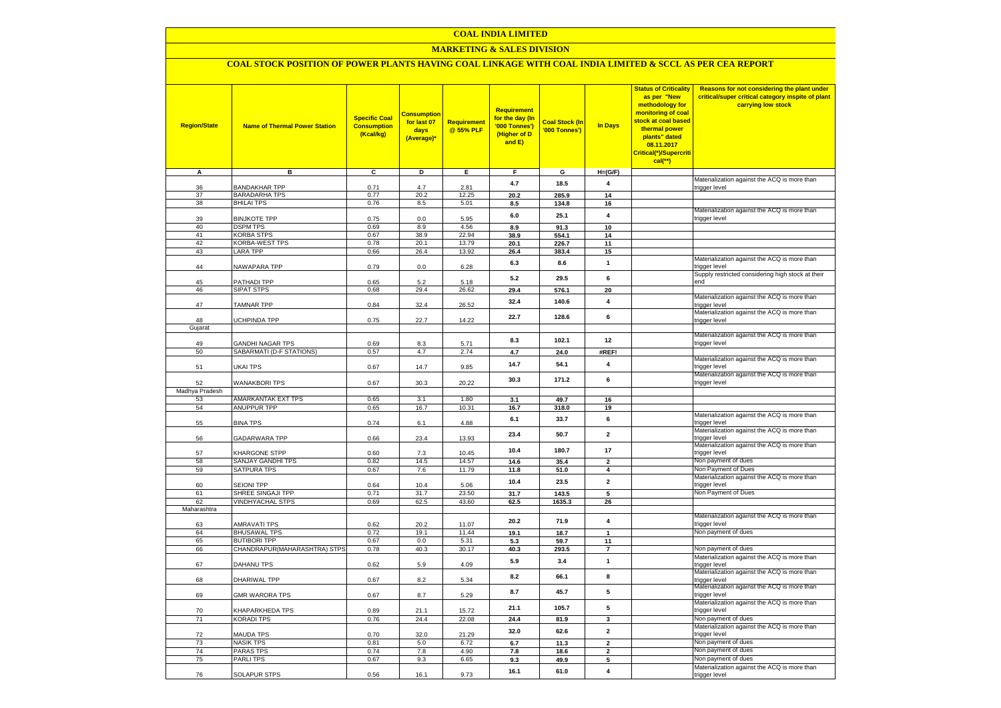#### **COAL INDIA LIMITED**

### **MARKETING & SALES DIVISION**

## **COAL STOCK POSITION OF POWER PLANTS HAVING COAL LINKAGE WITH COAL INDIA LIMITED & SCCL AS PER CEA REPORT**

| <b>Region/State</b> | <b>Name of Thermal Power Station</b> | <b>Specific Coal</b><br><b>Consumption</b><br>(Kcal/kg) | <b>Consumption</b><br>for last 07<br>days<br>(Average) | <b>Requirement</b><br>@ 55% PLF | <b>Requirement</b><br>for the day (In<br>'000 Tonnes')<br>(Higher of D<br>and E) | <b>Coal Stock (In</b><br>'000 Tonnes') | <b>In Days</b>          | <b>Status of Criticality</b><br>as per "New<br>methodology for<br>monitoring of coal<br>stock at coal based<br>thermal power<br>plants" dated<br>08.11.2017<br>Critical(*)/Supercriti<br>cal(**) | Reasons for not considering the plant under<br>critical/super critical category inspite of plant<br>carrying low stock |
|---------------------|--------------------------------------|---------------------------------------------------------|--------------------------------------------------------|---------------------------------|----------------------------------------------------------------------------------|----------------------------------------|-------------------------|--------------------------------------------------------------------------------------------------------------------------------------------------------------------------------------------------|------------------------------------------------------------------------------------------------------------------------|
| A                   | в                                    | $\overline{c}$                                          | Þ                                                      | Е.                              | F.                                                                               | G                                      | $H=(G/F)$               |                                                                                                                                                                                                  |                                                                                                                        |
| 36                  | <b>BANDAKHAR TPP</b>                 | 0.71                                                    | 4.7                                                    | 2.81                            | 4.7                                                                              | 18.5                                   | $\overline{\mathbf{4}}$ |                                                                                                                                                                                                  | Materialization against the ACQ is more than<br>trigger level                                                          |
| 37                  | <b>BARADARHA TPS</b>                 | 0.77                                                    | 20.2                                                   | 12.25                           | 20.2                                                                             | 285.9                                  | 14                      |                                                                                                                                                                                                  |                                                                                                                        |
| 38                  | <b>BHILAI TPS</b>                    | 0.76                                                    | 8.5                                                    | 5.01                            | 8.5                                                                              | 134.8                                  | 16                      |                                                                                                                                                                                                  |                                                                                                                        |
|                     |                                      |                                                         |                                                        |                                 | 6.0                                                                              | 25.1                                   | $\overline{4}$          |                                                                                                                                                                                                  | Materialization against the ACQ is more than                                                                           |
| 39                  | <b>BINJKOTE TPP</b>                  | 0.75                                                    | 0.0                                                    | 5.95                            |                                                                                  |                                        |                         |                                                                                                                                                                                                  | trigger level                                                                                                          |
| 40<br>41            | <b>DSPM TPS</b><br><b>KORBA STPS</b> | 0.69<br>0.67                                            | 8.9<br>38.9                                            | 4.56<br>22.94                   | 8.9                                                                              | 91.3                                   | 10<br>14                |                                                                                                                                                                                                  |                                                                                                                        |
| 42                  | KORBA-WEST TPS                       | 0.78                                                    | 20.1                                                   | 13.79                           | 38.9<br>20.1                                                                     | 554.1<br>226.7                         | 11                      |                                                                                                                                                                                                  |                                                                                                                        |
| 43                  | <b>LARA TPP</b>                      | 0.66                                                    | 26.4                                                   | 13.92                           | 26.4                                                                             | 383.4                                  | 15                      |                                                                                                                                                                                                  |                                                                                                                        |
|                     |                                      |                                                         |                                                        |                                 | 6.3                                                                              | 8.6                                    | $\mathbf{1}$            |                                                                                                                                                                                                  | Materialization against the ACQ is more than                                                                           |
| 44                  | NAWAPARA TPP                         | 0.79                                                    | 0.0                                                    | 6.28                            |                                                                                  |                                        |                         |                                                                                                                                                                                                  | trigger level                                                                                                          |
| 45                  | PATHADI TPP                          | 0.65                                                    | 52                                                     | 5.18                            | 5.2                                                                              | 29.5                                   | 6                       |                                                                                                                                                                                                  | Supply restricted considering high stock at their<br>end                                                               |
| 46                  | <b>SIPAT STPS</b>                    | 0.68                                                    | 29.4                                                   | 26.62                           | 29.4                                                                             | 576.1                                  | 20                      |                                                                                                                                                                                                  |                                                                                                                        |
|                     |                                      |                                                         |                                                        |                                 | 32.4                                                                             | 140.6                                  | $\overline{\mathbf{4}}$ |                                                                                                                                                                                                  | Materialization against the ACQ is more than                                                                           |
| 47                  | <b>TAMNAR TPP</b>                    | 0.84                                                    | 32.4                                                   | 26.52                           |                                                                                  |                                        |                         |                                                                                                                                                                                                  | trigger level                                                                                                          |
|                     |                                      | 0.75                                                    |                                                        | 14.22                           | 22.7                                                                             | 128.6                                  | 6                       |                                                                                                                                                                                                  | Materialization against the ACQ is more than<br>trigger level                                                          |
| 48<br>Gujarat       | UCHPINDA TPP                         |                                                         | 22.7                                                   |                                 |                                                                                  |                                        |                         |                                                                                                                                                                                                  |                                                                                                                        |
|                     |                                      |                                                         |                                                        |                                 |                                                                                  |                                        |                         |                                                                                                                                                                                                  | Materialization against the ACQ is more than                                                                           |
| 49                  | <b>GANDHI NAGAR TPS</b>              | 0.69                                                    | 8.3                                                    | 5.71                            | 8.3                                                                              | 102.1                                  | 12                      |                                                                                                                                                                                                  | trigger level                                                                                                          |
| 50                  | SABARMATI (D-F STATIONS)             | 0.57                                                    | 4.7                                                    | 2.74                            | 4.7                                                                              | 24.0                                   | #REF!                   |                                                                                                                                                                                                  |                                                                                                                        |
|                     |                                      |                                                         |                                                        |                                 | 14.7                                                                             | 54.1                                   | 4                       |                                                                                                                                                                                                  | Materialization against the ACQ is more than                                                                           |
| 51                  | UKAI TPS                             | 0.67                                                    | 14.7                                                   | 9.85                            |                                                                                  |                                        |                         |                                                                                                                                                                                                  | trigger level<br>Materialization against the ACQ is more than                                                          |
| 52                  | <b>WANAKBORI TPS</b>                 | 0.67                                                    | 30.3                                                   | 20.22                           | 30.3                                                                             | 171.2                                  | 6                       |                                                                                                                                                                                                  | trigger level                                                                                                          |
| Madhya Pradesh      |                                      |                                                         |                                                        |                                 |                                                                                  |                                        |                         |                                                                                                                                                                                                  |                                                                                                                        |
| 53                  | AMARKANTAK EXT TPS                   | 0.65                                                    | 3.1                                                    | 1.80                            | 3.1                                                                              | 49.7                                   | 16                      |                                                                                                                                                                                                  |                                                                                                                        |
| 54                  | <b>ANUPPUR TPP</b>                   | 0.65                                                    | 16.7                                                   | 10.31                           | 16.7                                                                             | 318.0                                  | 19                      |                                                                                                                                                                                                  |                                                                                                                        |
|                     |                                      |                                                         |                                                        |                                 | 6.1                                                                              | 33.7                                   | 6                       |                                                                                                                                                                                                  | Materialization against the ACQ is more than                                                                           |
| 55                  | <b>BINA TPS</b>                      | 0.74                                                    | 6.1                                                    | 4.88                            |                                                                                  |                                        |                         |                                                                                                                                                                                                  | trigger level<br>Materialization against the ACQ is more than                                                          |
| 56                  | GADARWARA TPP                        | 0.66                                                    | 23.4                                                   | 13.93                           | 23.4                                                                             | 50.7                                   | $\mathbf 2$             |                                                                                                                                                                                                  | trigger level                                                                                                          |
|                     |                                      |                                                         |                                                        |                                 | 10.4                                                                             | 180.7                                  | 17                      |                                                                                                                                                                                                  | Materialization against the ACQ is more than                                                                           |
| 57                  | <b>KHARGONE STPP</b>                 | 0.60                                                    | 7.3                                                    | 10.45                           |                                                                                  |                                        |                         |                                                                                                                                                                                                  | trigger level                                                                                                          |
| 58                  | SANJAY GANDHI TPS                    | 0.82                                                    | 14.5                                                   | 14.57                           | 14.6                                                                             | 35.4                                   | $\overline{2}$          |                                                                                                                                                                                                  | Non payment of dues<br>Non Payment of Dues                                                                             |
| 59                  | <b>SATPURA TPS</b>                   | 0.67                                                    | 7.6                                                    | 11.79                           | 11.8                                                                             | 51.0                                   | $\Delta$                |                                                                                                                                                                                                  | Materialization against the ACQ is more than                                                                           |
| 60                  | <b>SEIONI TPP</b>                    | 0.64                                                    | 10.4                                                   | 5.06                            | 10.4                                                                             | 23.5                                   | $\overline{\mathbf{2}}$ |                                                                                                                                                                                                  | trigger level                                                                                                          |
| 61                  | SHREE SINGAJI TPP                    | 0.71                                                    | 31.7                                                   | 23.50                           | 31.7                                                                             | 143.5                                  | 5                       |                                                                                                                                                                                                  | Non Payment of Dues                                                                                                    |
| 62                  | <b>VINDHYACHAL STPS</b>              | 0.69                                                    | 62.5                                                   | 43.60                           | 62.5                                                                             | 1635.3                                 | 26                      |                                                                                                                                                                                                  |                                                                                                                        |
| Maharashtra         |                                      |                                                         |                                                        |                                 |                                                                                  |                                        |                         |                                                                                                                                                                                                  |                                                                                                                        |
| 63                  | <b>AMRAVATI TPS</b>                  | 0.62                                                    | 20.2                                                   | 11.07                           | 20.2                                                                             | 71.9                                   | 4                       |                                                                                                                                                                                                  | Materialization against the ACQ is more than<br>trigger level                                                          |
| 64                  | <b>BHUSAWAL TPS</b>                  | 0.72                                                    | 19.1                                                   | 11.44                           | 19.1                                                                             | 18.7                                   | $\mathbf{1}$            |                                                                                                                                                                                                  | Non payment of dues                                                                                                    |
| 65                  | <b>BUTIBORI TPP</b>                  | 0.67                                                    | 0.0                                                    | 5.31                            | 5.3                                                                              | 59.7                                   | 11                      |                                                                                                                                                                                                  |                                                                                                                        |
| 66                  | CHANDRAPUR(MAHARASHTRA) STPS         | 0.78                                                    | 40.3                                                   | 30.17                           | 40.3                                                                             | 293.5                                  | $\overline{7}$          |                                                                                                                                                                                                  | Non payment of dues                                                                                                    |
|                     |                                      |                                                         |                                                        |                                 | 5.9                                                                              | 3.4                                    | $\mathbf{1}$            |                                                                                                                                                                                                  | Materialization against the ACQ is more than                                                                           |
| 67                  | DAHANU TPS                           | 0.62                                                    | 5.9                                                    | 4.09                            |                                                                                  |                                        |                         |                                                                                                                                                                                                  | trigger level<br>Materialization against the ACQ is more than                                                          |
| 68                  | DHARIWAL TPP                         | 0.67                                                    | 8.2                                                    | 5.34                            | 8.2                                                                              | 66.1                                   | 8                       |                                                                                                                                                                                                  | trigger level                                                                                                          |
|                     |                                      |                                                         |                                                        |                                 | 8.7                                                                              | 45.7                                   | 5                       |                                                                                                                                                                                                  | Materialization against the ACQ is more than                                                                           |
| 69                  | <b>GMR WARORA TPS</b>                | 0.67                                                    | 8.7                                                    | 5.29                            |                                                                                  |                                        |                         |                                                                                                                                                                                                  | trigger level                                                                                                          |
|                     |                                      |                                                         |                                                        |                                 | 21.1                                                                             | 105.7                                  | 5                       |                                                                                                                                                                                                  | Materialization against the ACQ is more than                                                                           |
| 70                  | KHAPARKHEDA TPS                      | 0.89                                                    | 21.1                                                   | 15.72<br>22.08                  |                                                                                  |                                        |                         |                                                                                                                                                                                                  | trigger level<br>Non payment of dues                                                                                   |
| 71                  | <b>KORADI TPS</b>                    | 0.76                                                    | 24.4                                                   |                                 | 24.4                                                                             | 81.9                                   | 3                       |                                                                                                                                                                                                  | Materialization against the ACQ is more than                                                                           |
| 72                  | <b>MAUDA TPS</b>                     | 0.70                                                    | 32.0                                                   | 21.29                           | 32.0                                                                             | 62.6                                   | $\overline{2}$          |                                                                                                                                                                                                  | trigger level                                                                                                          |
| 73                  | <b>NASIK TPS</b>                     | 0.81                                                    | 5.0                                                    | 6.72                            | 6.7                                                                              | 11.3                                   | $\overline{\mathbf{2}}$ |                                                                                                                                                                                                  | Non payment of dues                                                                                                    |
| 74                  | <b>PARAS TPS</b>                     | 0.74                                                    | 7.8                                                    | 4.90                            | 7.8                                                                              | 18.6                                   | $\overline{\mathbf{2}}$ |                                                                                                                                                                                                  | Non payment of dues                                                                                                    |
| 75                  | PARLI TPS                            | 0.67                                                    | 9.3                                                    | 6.65                            | 9.3                                                                              | 49.9                                   | 5                       |                                                                                                                                                                                                  | Non payment of dues                                                                                                    |
|                     |                                      |                                                         |                                                        | 9.73                            | 16.1                                                                             | 61.0                                   | 4                       |                                                                                                                                                                                                  | Materialization against the ACQ is more than                                                                           |
| 76                  | <b>SOLAPUR STPS</b>                  | 0.56                                                    | 16.1                                                   |                                 |                                                                                  |                                        |                         |                                                                                                                                                                                                  | trigger level                                                                                                          |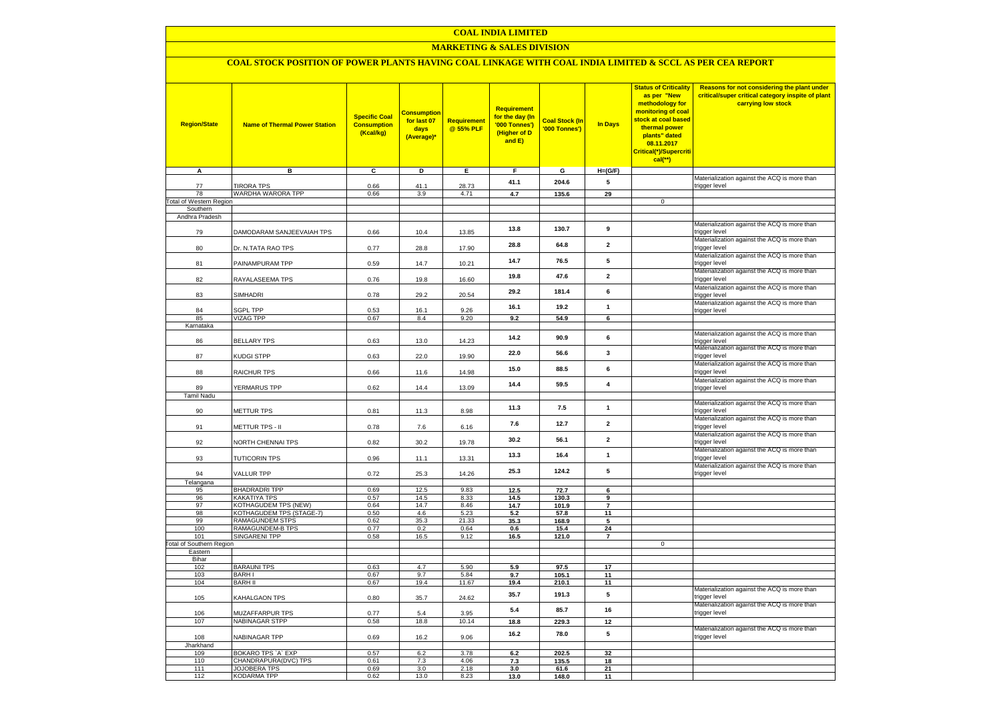### **COAL INDIA LIMITED**

### **MARKETING & SALES DIVISION**

# **COAL STOCK POSITION OF POWER PLANTS HAVING COAL LINKAGE WITH COAL INDIA LIMITED & SCCL AS PER CEA REPORT**

| <b>Region/State</b><br>A                   | <b>Name of Thermal Power Station</b><br>в  | <b>Specific Coal</b><br><b>Consumption</b><br>(Kcal/kg)<br>C | <b>Consumption</b><br>for last 07<br>days<br>(Average)*<br>D | <b>Requirement</b><br>@ 55% PLF<br>Е. | <b>Requirement</b><br>for the day (In<br>'000 Tonnes')<br>(Higher of D<br>and E)<br>F. | <b>Coal Stock (In</b><br>'000 Tonnes')<br>$\mathbf{G}$ | <b>In Days</b><br>$H=(G/F)$ | <b>Status of Criticality</b><br>as per "New<br>methodology for<br>monitoring of coal<br><mark>stock at coal based</mark><br>thermal power<br>plants" dated<br>08.11.2017<br>Critical(*)/Supercriti<br>cal(**) | Reasons for not considering the plant under<br>critical/super critical category inspite of plant<br>carrying low stock |
|--------------------------------------------|--------------------------------------------|--------------------------------------------------------------|--------------------------------------------------------------|---------------------------------------|----------------------------------------------------------------------------------------|--------------------------------------------------------|-----------------------------|---------------------------------------------------------------------------------------------------------------------------------------------------------------------------------------------------------------|------------------------------------------------------------------------------------------------------------------------|
|                                            |                                            |                                                              |                                                              |                                       |                                                                                        |                                                        |                             |                                                                                                                                                                                                               | Materialization against the ACQ is more than                                                                           |
| 77                                         | <b>TIRORA TPS</b>                          | 0.66                                                         | 41.1                                                         | 28.73                                 | 41.1                                                                                   | 204.6                                                  | 5                           |                                                                                                                                                                                                               | trigger level                                                                                                          |
| 78                                         | WARDHA WARORA TPP                          | 0.66                                                         | 3.9                                                          | 4.71                                  | 4.7                                                                                    | 135.6                                                  | 29                          | $\overline{0}$                                                                                                                                                                                                |                                                                                                                        |
| <b>Total of Western Region</b><br>Southern |                                            |                                                              |                                                              |                                       |                                                                                        |                                                        |                             |                                                                                                                                                                                                               |                                                                                                                        |
| Andhra Pradesh                             |                                            |                                                              |                                                              |                                       |                                                                                        |                                                        |                             |                                                                                                                                                                                                               |                                                                                                                        |
| 79                                         | DAMODARAM SANJEEVAIAH TPS                  | 0.66                                                         | 10.4                                                         | 13.85                                 | 13.8                                                                                   | 130.7                                                  | 9                           |                                                                                                                                                                                                               | Materialization against the ACQ is more than<br>trigger level                                                          |
| 80                                         | Dr. N.TATA RAO TPS                         | 0.77                                                         | 28.8                                                         | 17.90                                 | 28.8                                                                                   | 64.8                                                   | $\mathbf 2$                 |                                                                                                                                                                                                               | Materialization against the ACQ is more than<br>trigger level                                                          |
| 81                                         | PAINAMPURAM TPP                            | 0.59                                                         | 14.7                                                         | 10.21                                 | 14.7                                                                                   | 76.5                                                   | 5                           |                                                                                                                                                                                                               | Materialization against the ACQ is more than<br>trigger level                                                          |
| 82                                         | RAYALASEEMA TPS                            | 0.76                                                         | 19.8                                                         | 16.60                                 | 19.8                                                                                   | 47.6                                                   | $\overline{2}$              |                                                                                                                                                                                                               | Materialization against the ACQ is more than<br>trigger level                                                          |
| 83                                         | SIMHADRI                                   | 0.78                                                         | 29.2                                                         | 20.54                                 | 29.2                                                                                   | 181.4                                                  | 6                           |                                                                                                                                                                                                               | Materialization against the ACQ is more than<br>trigger level<br>Materialization against the ACQ is more than          |
| 84                                         | <b>GPL TPP</b>                             | 0.53                                                         | 16.1                                                         | 9.26                                  | 16.1                                                                                   | 19.2                                                   | $\mathbf{1}$                |                                                                                                                                                                                                               | trigger level                                                                                                          |
| 85                                         | <b>VIZAG TPP</b>                           | 0.67                                                         | 8.4                                                          | 9.20                                  | 9.2                                                                                    | 54.9                                                   | 6                           |                                                                                                                                                                                                               |                                                                                                                        |
| Karnataka                                  |                                            |                                                              |                                                              |                                       |                                                                                        |                                                        |                             |                                                                                                                                                                                                               |                                                                                                                        |
| 86                                         | <b>BELLARY TPS</b>                         | 0.63                                                         | 13.0                                                         | 14.23                                 | 14.2                                                                                   | 90.9                                                   | 6                           |                                                                                                                                                                                                               | Materialization against the ACQ is more than<br>trigger level<br>Materialization against the ACQ is more than          |
| 87                                         | KUDGI STPP                                 | 0.63                                                         | 22.0                                                         | 19.90                                 | 22.0                                                                                   | 56.6                                                   | 3                           |                                                                                                                                                                                                               | trigger level<br>Materialization against the ACQ is more than                                                          |
| 88                                         | <b>RAICHUR TPS</b>                         | 0.66                                                         | 11.6                                                         | 14.98                                 | 15.0                                                                                   | 88.5                                                   | 6                           |                                                                                                                                                                                                               | trigger level                                                                                                          |
| 89<br><b>Tamil Nadu</b>                    | YERMARUS TPP                               | 0.62                                                         | 14.4                                                         | 13.09                                 | 14.4                                                                                   | 59.5                                                   | 4                           |                                                                                                                                                                                                               | Materialization against the ACQ is more than<br>trigger level                                                          |
| 90                                         | <b>METTUR TPS</b>                          | 0.81                                                         | 11.3                                                         | 8.98                                  | 11.3                                                                                   | 7.5                                                    | $\mathbf{1}$                |                                                                                                                                                                                                               | Materialization against the ACQ is more than<br>trigger level                                                          |
| 91                                         | METTUR TPS - II                            | 0.78                                                         | 7.6                                                          | 6.16                                  | 7.6                                                                                    | 12.7                                                   | $\mathbf{2}$                |                                                                                                                                                                                                               | Materialization against the ACQ is more than<br>trigger level                                                          |
| 92                                         | NORTH CHENNAI TPS                          | 0.82                                                         | 30.2                                                         | 19.78                                 | 30.2                                                                                   | 56.1                                                   | $\overline{2}$              |                                                                                                                                                                                                               | Materialization against the ACQ is more than<br>trigger level                                                          |
| 93                                         | <b>TUTICORIN TPS</b>                       | 0.96                                                         | 11.1                                                         | 13.31                                 | 13.3                                                                                   | 16.4                                                   | $\mathbf{1}$                |                                                                                                                                                                                                               | Materialization against the ACQ is more than<br>trigger level                                                          |
| 94                                         | <b>VALLUR TPP</b>                          | 0.72                                                         | 25.3                                                         | 14.26                                 | 25.3                                                                                   | 124.2                                                  | 5                           |                                                                                                                                                                                                               | Materialization against the ACQ is more than<br>trigger level                                                          |
| Telangana<br>95                            | <b>BHADRADRI TPP</b>                       | 0.69                                                         | 12.5                                                         | 9.83                                  | 12.5                                                                                   | 72.7                                                   | 6                           |                                                                                                                                                                                                               |                                                                                                                        |
| 96                                         | <b>KAKATIYA TPS</b>                        | 0.57                                                         | 14.5                                                         | 8.33                                  | 14.5                                                                                   | 130.3                                                  | 9                           |                                                                                                                                                                                                               |                                                                                                                        |
| 97                                         | KOTHAGUDEM TPS (NEW)                       | 0.64                                                         | 14.7                                                         | 8.46                                  | 14.7                                                                                   | 101.9                                                  | $\overline{7}$              |                                                                                                                                                                                                               |                                                                                                                        |
| 98                                         | KOTHAGUDEM TPS (STAGE-7)                   | 0.50                                                         | 4.6                                                          | 5.23                                  | 5.2                                                                                    | 57.8                                                   | 11                          |                                                                                                                                                                                                               |                                                                                                                        |
| 99<br>100                                  | <b>RAMAGUNDEM STPS</b><br>RAMAGUNDEM-B TPS | 0.62<br>0.77                                                 | 35.3                                                         | 21.33                                 | 35.3                                                                                   | 168.9                                                  | 5                           |                                                                                                                                                                                                               |                                                                                                                        |
| 101                                        | <b>SINGARENI TPP</b>                       | 0.58                                                         | 0.2<br>16.5                                                  | 0.64<br>9.12                          | 0.6<br>16.5                                                                            | 15.4<br>121.0                                          | 24<br>$\overline{7}$        |                                                                                                                                                                                                               |                                                                                                                        |
| <b>Total of Southern Region</b>            |                                            |                                                              |                                                              |                                       |                                                                                        |                                                        |                             | $\mathsf 0$                                                                                                                                                                                                   |                                                                                                                        |
| Eastern                                    |                                            |                                                              |                                                              |                                       |                                                                                        |                                                        |                             |                                                                                                                                                                                                               |                                                                                                                        |
| Bihar<br>102                               | <b>BARAUNI TPS</b>                         | 0.63                                                         | 4.7                                                          | 5.90                                  | 5.9                                                                                    | 97.5                                                   | 17                          |                                                                                                                                                                                                               |                                                                                                                        |
| 103                                        | <b>BARHI</b>                               | 0.67                                                         | 9.7                                                          | 5.84                                  | 9.7                                                                                    | 105.1                                                  | 11                          |                                                                                                                                                                                                               |                                                                                                                        |
| 104                                        | <b>BARH II</b>                             | 0.67                                                         | 19.4                                                         | 11.67                                 | 19.4                                                                                   | 210.1                                                  | 11                          |                                                                                                                                                                                                               |                                                                                                                        |
| 105                                        | KAHALGAON TPS                              | 0.80                                                         | 35.7                                                         | 24.62                                 | 35.7                                                                                   | 191.3                                                  | 5                           |                                                                                                                                                                                                               | Materialization against the ACQ is more than<br>trigger level                                                          |
| 106                                        | MUZAFFARPUR TPS                            | 0.77                                                         | 5.4                                                          | 3.95                                  | 5.4                                                                                    | 85.7                                                   | 16                          |                                                                                                                                                                                                               | Materialization against the ACQ is more than<br>trigger level                                                          |
| 107                                        | NABINAGAR STPP                             | 0.58                                                         | 18.8                                                         | 10.14                                 | 18.8                                                                                   | 229.3                                                  | 12                          |                                                                                                                                                                                                               | Materialization against the ACQ is more than                                                                           |
| 108<br>Jharkhand                           | NABINAGAR TPP                              | 0.69                                                         | 16.2                                                         | 9.06                                  | 16.2                                                                                   | 78.0                                                   | 5                           |                                                                                                                                                                                                               | trigger level                                                                                                          |
| 109                                        | BOKARO TPS 'A' EXP                         | 0.57                                                         | 6.2                                                          | 3.78                                  | 6.2                                                                                    | 202.5                                                  | 32                          |                                                                                                                                                                                                               |                                                                                                                        |
| 110                                        | CHANDRAPURA(DVC) TPS                       | 0.61                                                         | 7.3                                                          | 4.06                                  | 7.3                                                                                    | 135.5                                                  | 18                          |                                                                                                                                                                                                               |                                                                                                                        |
| 111                                        | <b>JOJOBERA TPS</b>                        | 0.69                                                         | 3.0                                                          | 2.18                                  | 3.0                                                                                    | 61.6                                                   | 21                          |                                                                                                                                                                                                               |                                                                                                                        |
| 112                                        | <b>KODARMA TPP</b>                         | 0.62                                                         | 13.0                                                         | 8.23                                  | 13.0                                                                                   | 148.0                                                  | 11                          |                                                                                                                                                                                                               |                                                                                                                        |